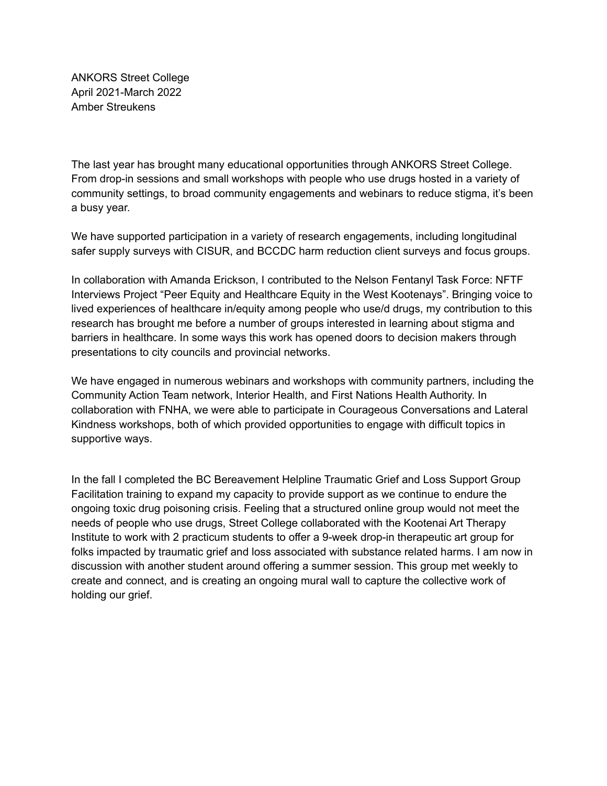ANKORS Street College April 2021-March 2022 Amber Streukens

The last year has brought many educational opportunities through ANKORS Street College. From drop-in sessions and small workshops with people who use drugs hosted in a variety of community settings, to broad community engagements and webinars to reduce stigma, it's been a busy year.

We have supported participation in a variety of research engagements, including longitudinal safer supply surveys with CISUR, and BCCDC harm reduction client surveys and focus groups.

In collaboration with Amanda Erickson, I contributed to the Nelson Fentanyl Task Force: NFTF Interviews Project "Peer Equity and Healthcare Equity in the West Kootenays". Bringing voice to lived experiences of healthcare in/equity among people who use/d drugs, my contribution to this research has brought me before a number of groups interested in learning about stigma and barriers in healthcare. In some ways this work has opened doors to decision makers through presentations to city councils and provincial networks.

We have engaged in numerous webinars and workshops with community partners, including the Community Action Team network, Interior Health, and First Nations Health Authority. In collaboration with FNHA, we were able to participate in Courageous Conversations and Lateral Kindness workshops, both of which provided opportunities to engage with difficult topics in supportive ways.

In the fall I completed the BC Bereavement Helpline Traumatic Grief and Loss Support Group Facilitation training to expand my capacity to provide support as we continue to endure the ongoing toxic drug poisoning crisis. Feeling that a structured online group would not meet the needs of people who use drugs, Street College collaborated with the Kootenai Art Therapy Institute to work with 2 practicum students to offer a 9-week drop-in therapeutic art group for folks impacted by traumatic grief and loss associated with substance related harms. I am now in discussion with another student around offering a summer session. This group met weekly to create and connect, and is creating an ongoing mural wall to capture the collective work of holding our grief.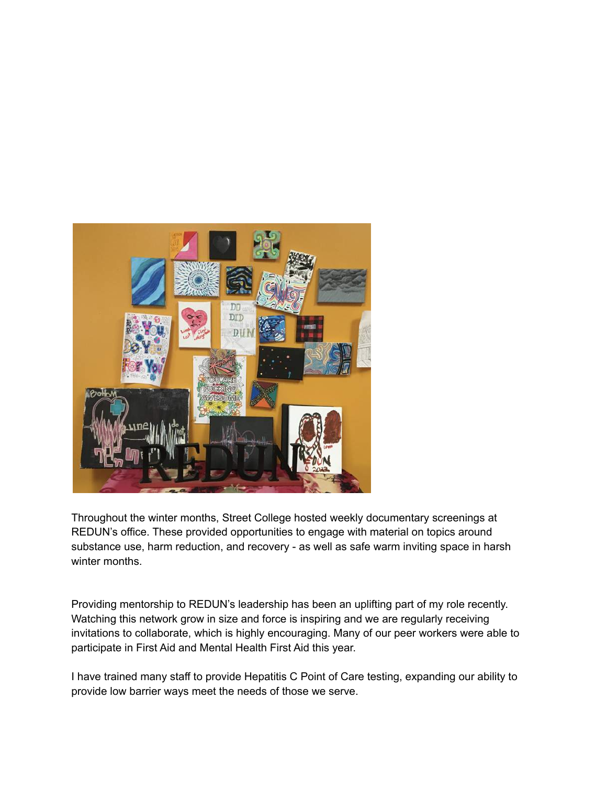

Throughout the winter months, Street College hosted weekly documentary screenings at REDUN's office. These provided opportunities to engage with material on topics around substance use, harm reduction, and recovery - as well as safe warm inviting space in harsh winter months.

Providing mentorship to REDUN's leadership has been an uplifting part of my role recently. Watching this network grow in size and force is inspiring and we are regularly receiving invitations to collaborate, which is highly encouraging. Many of our peer workers were able to participate in First Aid and Mental Health First Aid this year.

I have trained many staff to provide Hepatitis C Point of Care testing, expanding our ability to provide low barrier ways meet the needs of those we serve.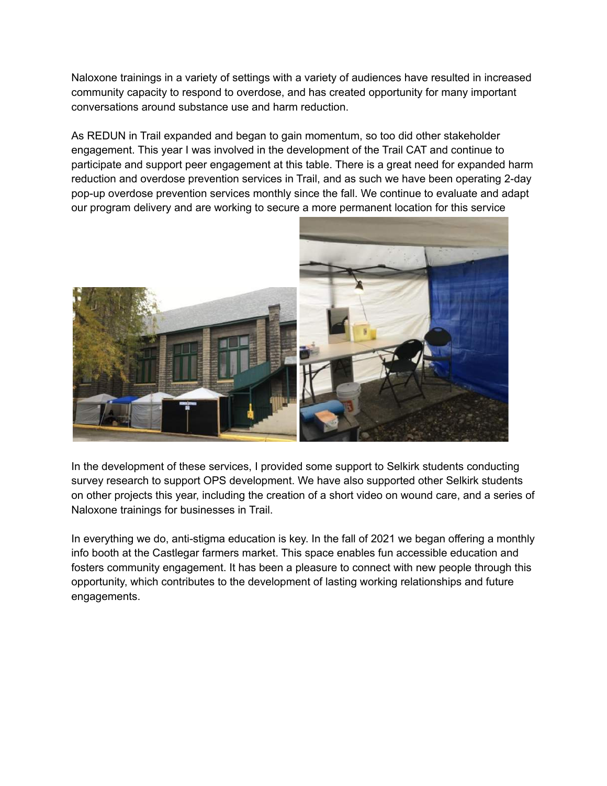Naloxone trainings in a variety of settings with a variety of audiences have resulted in increased community capacity to respond to overdose, and has created opportunity for many important conversations around substance use and harm reduction.

As REDUN in Trail expanded and began to gain momentum, so too did other stakeholder engagement. This year I was involved in the development of the Trail CAT and continue to participate and support peer engagement at this table. There is a great need for expanded harm reduction and overdose prevention services in Trail, and as such we have been operating 2-day pop-up overdose prevention services monthly since the fall. We continue to evaluate and adapt our program delivery and are working to secure a more permanent location for this service



In the development of these services, I provided some support to Selkirk students conducting survey research to support OPS development. We have also supported other Selkirk students on other projects this year, including the creation of a short video on wound care, and a series of Naloxone trainings for businesses in Trail.

In everything we do, anti-stigma education is key. In the fall of 2021 we began offering a monthly info booth at the Castlegar farmers market. This space enables fun accessible education and fosters community engagement. It has been a pleasure to connect with new people through this opportunity, which contributes to the development of lasting working relationships and future engagements.